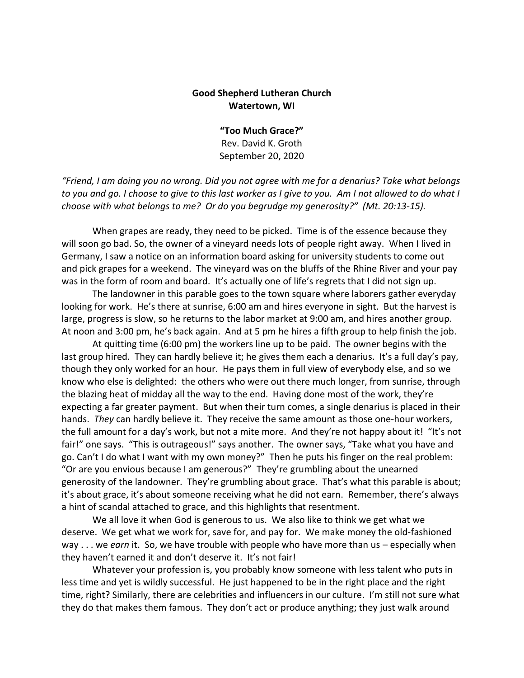## **Good Shepherd Lutheran Church Watertown, WI**

**"Too Much Grace?"** Rev. David K. Groth September 20, 2020

*"Friend, I am doing you no wrong. Did you not agree with me for a denarius? Take what belongs to you and go. I choose to give to this last worker as I give to you. Am I not allowed to do what I choose with what belongs to me? Or do you begrudge my generosity?" (Mt. 20:13-15).* 

When grapes are ready, they need to be picked. Time is of the essence because they will soon go bad. So, the owner of a vineyard needs lots of people right away. When I lived in Germany, I saw a notice on an information board asking for university students to come out and pick grapes for a weekend. The vineyard was on the bluffs of the Rhine River and your pay was in the form of room and board. It's actually one of life's regrets that I did not sign up.

The landowner in this parable goes to the town square where laborers gather everyday looking for work. He's there at sunrise, 6:00 am and hires everyone in sight. But the harvest is large, progress is slow, so he returns to the labor market at 9:00 am, and hires another group. At noon and 3:00 pm, he's back again. And at 5 pm he hires a fifth group to help finish the job.

At quitting time (6:00 pm) the workers line up to be paid. The owner begins with the last group hired. They can hardly believe it; he gives them each a denarius. It's a full day's pay, though they only worked for an hour. He pays them in full view of everybody else, and so we know who else is delighted: the others who were out there much longer, from sunrise, through the blazing heat of midday all the way to the end. Having done most of the work, they're expecting a far greater payment. But when their turn comes, a single denarius is placed in their hands. *They* can hardly believe it. They receive the same amount as those one-hour workers, the full amount for a day's work, but not a mite more. And they're not happy about it! "It's not fair!" one says. "This is outrageous!" says another. The owner says, "Take what you have and go. Can't I do what I want with my own money?" Then he puts his finger on the real problem: "Or are you envious because I am generous?" They're grumbling about the unearned generosity of the landowner. They're grumbling about grace. That's what this parable is about; it's about grace, it's about someone receiving what he did not earn. Remember, there's always a hint of scandal attached to grace, and this highlights that resentment.

We all love it when God is generous to us. We also like to think we get what we deserve. We get what we work for, save for, and pay for. We make money the old-fashioned way . . . we *earn* it. So, we have trouble with people who have more than us – especially when they haven't earned it and don't deserve it. It's not fair!

Whatever your profession is, you probably know someone with less talent who puts in less time and yet is wildly successful. He just happened to be in the right place and the right time, right? Similarly, there are celebrities and influencers in our culture. I'm still not sure what they do that makes them famous. They don't act or produce anything; they just walk around